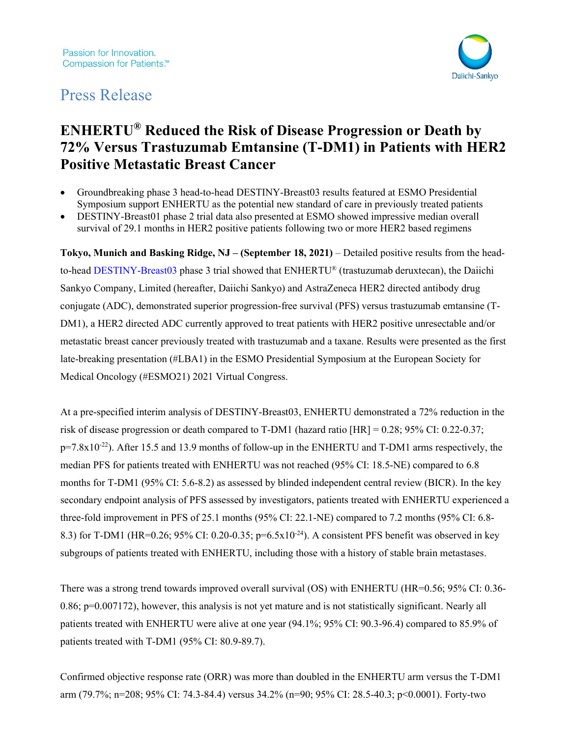

# Press Release

# **ENHERTU® Reduced the Risk of Disease Progression or Death by 72% Versus Trastuzumab Emtansine (T-DM1) in Patients with HER2 Positive Metastatic Breast Cancer**

- Groundbreaking phase 3 head-to-head DESTINY-Breast03 results featured at ESMO Presidential Symposium support ENHERTU as the potential new standard of care in previously treated patients
- DESTINY-Breast01 phase 2 trial data also presented at ESMO showed impressive median overall survival of 29.1 months in HER2 positive patients following two or more HER2 based regimens

**Tokyo, Munich and Basking Ridge, NJ – (September 18, 2021)** – Detailed positive results from the headto-head [DESTINY-Breast03](https://clinicaltrials.gov/ct2/show/NCT03529110) phase 3 trial showed that ENHERTU® (trastuzumab deruxtecan), the Daiichi Sankyo Company, Limited (hereafter, Daiichi Sankyo) and AstraZeneca HER2 directed antibody drug conjugate (ADC), demonstrated superior progression-free survival (PFS) versus trastuzumab emtansine (T-DM1), a HER2 directed ADC currently approved to treat patients with HER2 positive unresectable and/or metastatic breast cancer previously treated with trastuzumab and a taxane. Results were presented as the first late-breaking presentation (#LBA1) in the ESMO Presidential Symposium at the European Society for Medical Oncology (#ESMO21) 2021 Virtual Congress.

At a pre-specified interim analysis of DESTINY-Breast03, ENHERTU demonstrated a 72% reduction in the risk of disease progression or death compared to T-DM1 (hazard ratio [HR] = 0.28; 95% CI: 0.22-0.37; p=7.8x10<sup>-22</sup>). After 15.5 and 13.9 months of follow-up in the ENHERTU and T-DM1 arms respectively, the median PFS for patients treated with ENHERTU was not reached (95% CI: 18.5-NE) compared to 6.8 months for T-DM1 (95% CI: 5.6-8.2) as assessed by blinded independent central review (BICR). In the key secondary endpoint analysis of PFS assessed by investigators, patients treated with ENHERTU experienced a three-fold improvement in PFS of 25.1 months (95% CI: 22.1-NE) compared to 7.2 months (95% CI: 6.8- 8.3) for T-DM1 (HR=0.26; 95% CI: 0.20-0.35;  $p=6.5x10^{-24}$ ). A consistent PFS benefit was observed in key subgroups of patients treated with ENHERTU, including those with a history of stable brain metastases.

There was a strong trend towards improved overall survival (OS) with ENHERTU (HR=0.56; 95% CI: 0.36- 0.86; p=0.007172), however, this analysis is not yet mature and is not statistically significant. Nearly all patients treated with ENHERTU were alive at one year (94.1%; 95% CI: 90.3-96.4) compared to 85.9% of patients treated with T-DM1 (95% CI: 80.9-89.7).

Confirmed objective response rate (ORR) was more than doubled in the ENHERTU arm versus the T-DM1 arm (79.7%; n=208; 95% CI: 74.3-84.4) versus 34.2% (n=90; 95% CI: 28.5-40.3; p<0.0001). Forty-two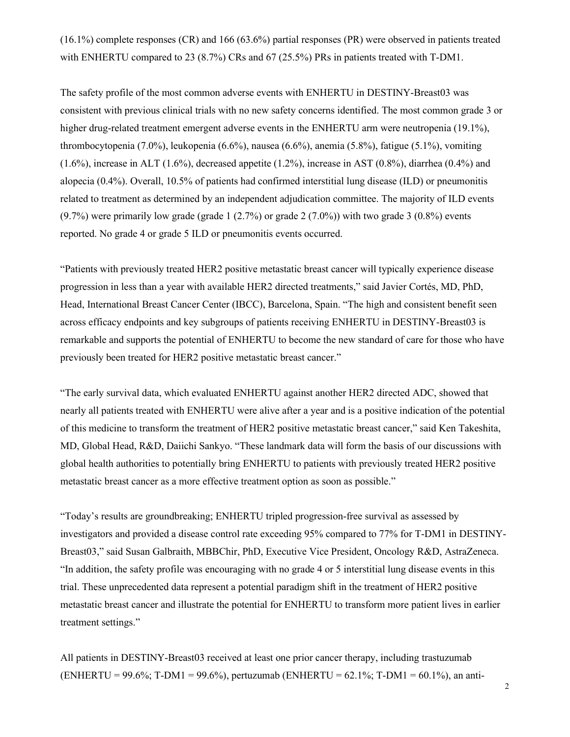(16.1%) complete responses (CR) and 166 (63.6%) partial responses (PR) were observed in patients treated with ENHERTU compared to 23 (8.7%) CRs and 67 (25.5%) PRs in patients treated with T-DM1.

The safety profile of the most common adverse events with ENHERTU in DESTINY-Breast03 was consistent with previous clinical trials with no new safety concerns identified. The most common grade 3 or higher drug-related treatment emergent adverse events in the ENHERTU arm were neutropenia (19.1%), thrombocytopenia (7.0%), leukopenia (6.6%), nausea (6.6%), anemia (5.8%), fatigue (5.1%), vomiting (1.6%), increase in ALT (1.6%), decreased appetite (1.2%), increase in AST (0.8%), diarrhea (0.4%) and alopecia (0.4%). Overall, 10.5% of patients had confirmed interstitial lung disease (ILD) or pneumonitis related to treatment as determined by an independent adjudication committee. The majority of ILD events  $(9.7%)$  were primarily low grade (grade 1  $(2.7%)$  or grade 2  $(7.0%)$ ) with two grade 3  $(0.8%)$  events reported. No grade 4 or grade 5 ILD or pneumonitis events occurred.

"Patients with previously treated HER2 positive metastatic breast cancer will typically experience disease progression in less than a year with available HER2 directed treatments," said Javier Cortés, MD, PhD, Head, International Breast Cancer Center (IBCC), Barcelona, Spain. "The high and consistent benefit seen across efficacy endpoints and key subgroups of patients receiving ENHERTU in DESTINY-Breast03 is remarkable and supports the potential of ENHERTU to become the new standard of care for those who have previously been treated for HER2 positive metastatic breast cancer."

"The early survival data, which evaluated ENHERTU against another HER2 directed ADC, showed that nearly all patients treated with ENHERTU were alive after a year and is a positive indication of the potential of this medicine to transform the treatment of HER2 positive metastatic breast cancer," said Ken Takeshita, MD, Global Head, R&D, Daiichi Sankyo. "These landmark data will form the basis of our discussions with global health authorities to potentially bring ENHERTU to patients with previously treated HER2 positive metastatic breast cancer as a more effective treatment option as soon as possible."

"Today's results are groundbreaking; ENHERTU tripled progression-free survival as assessed by investigators and provided a disease control rate exceeding 95% compared to 77% for T-DM1 in DESTINY-Breast03," said Susan Galbraith, MBBChir, PhD, Executive Vice President, Oncology R&D, AstraZeneca. "In addition, the safety profile was encouraging with no grade 4 or 5 interstitial lung disease events in this trial. These unprecedented data represent a potential paradigm shift in the treatment of HER2 positive metastatic breast cancer and illustrate the potential for ENHERTU to transform more patient lives in earlier treatment settings."

All patients in DESTINY-Breast03 received at least one prior cancer therapy, including trastuzumab (ENHERTU = 99.6%; T-DM1 = 99.6%), pertuzumab (ENHERTU = 62.1%; T-DM1 = 60.1%), an anti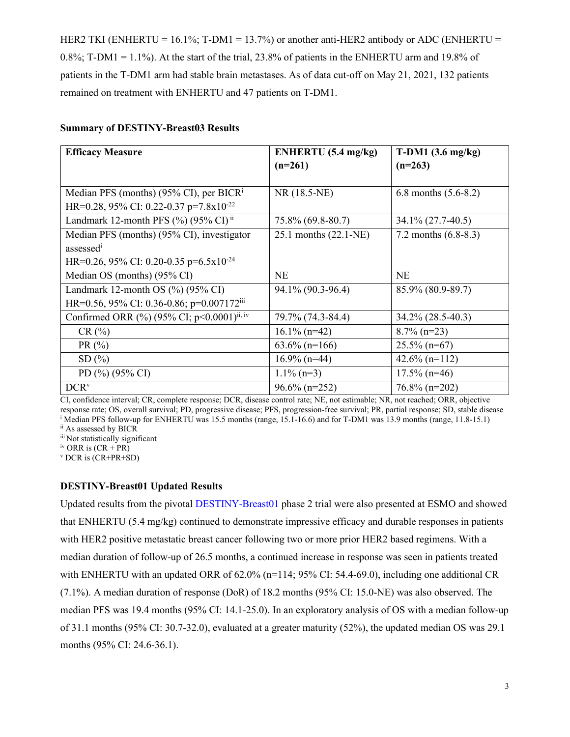HER2 TKI (ENHERTU = 16.1%; T-DM1 = 13.7%) or another anti-HER2 antibody or ADC (ENHERTU =  $0.8\%$ ; T-DM1 = 1.1%). At the start of the trial, 23.8% of patients in the ENHERTU arm and 19.8% of patients in the T-DM1 arm had stable brain metastases. As of data cut-off on May 21, 2021, 132 patients remained on treatment with ENHERTU and 47 patients on T-DM1.

#### **Summary of DESTINY-Breast03 Results**

| <b>Efficacy Measure</b>                                          | ENHERTU (5.4 mg/kg)   | $T-DM1$ (3.6 mg/kg)    |
|------------------------------------------------------------------|-----------------------|------------------------|
|                                                                  | $(n=261)$             | $(n=263)$              |
|                                                                  |                       |                        |
| Median PFS (months) (95% CI), per BICR <sup>i</sup>              | NR (18.5-NE)          | 6.8 months $(5.6-8.2)$ |
| HR=0.28, 95% CI: 0.22-0.37 p=7.8x10 <sup>-22</sup>               |                       |                        |
| Landmark 12-month PFS $(\%)$ (95% CI) <sup>ii</sup>              | 75.8% (69.8-80.7)     | 34.1% (27.7-40.5)      |
| Median PFS (months) (95% CI), investigator                       | 25.1 months (22.1-NE) | 7.2 months $(6.8-8.3)$ |
| assessed <sup>i</sup>                                            |                       |                        |
| HR=0.26, 95% CI: 0.20-0.35 p=6.5x10 <sup>-24</sup>               |                       |                        |
| Median OS (months) (95% CI)                                      | <b>NE</b>             | <b>NE</b>              |
| Landmark 12-month OS $(\%)(95\% \text{ CI})$                     | 94.1% (90.3-96.4)     | 85.9% (80.9-89.7)      |
| HR=0.56, 95% CI: 0.36-0.86; p=0.007172iii                        |                       |                        |
| Confirmed ORR $\frac{9}{9}$ (95% CI; p<0.0001) <sup>ii, iv</sup> | 79.7% (74.3-84.4)     | 34.2% (28.5-40.3)      |
| CR(%)                                                            | $16.1\%$ (n=42)       | $8.7\%$ (n=23)         |
| PR(%)                                                            | $63.6\%$ (n=166)      | $25.5\%$ (n=67)        |
| SD(%)                                                            | $16.9\%$ (n=44)       | $42.6\%$ (n=112)       |
| PD (%) (95% CI)                                                  | $1.1\%$ (n=3)         | $17.5\%$ (n=46)        |
| DCR <sup>v</sup>                                                 | $96.6\%$ (n=252)      | 76.8% (n=202)          |

CI, confidence interval; CR, complete response; DCR, disease control rate; NE, not estimable; NR, not reached; ORR, objective response rate; OS, overall survival; PD, progressive disease; PFS, progression-free survival; PR, partial response; SD, stable disease <sup>i</sup> Median PFS follow-up for ENHERTU was 15.5 months (range, 15.1-16.6) and for T-DM1 was 13.9 months (range, 11.8-15.1)

ii As assessed by BICR

iii Not statistically significant

 $\frac{1}{10}$  ORR is  $(CR + PR)$ 

<sup>v</sup> DCR is (CR+PR+SD)

## **DESTINY-Breast01 Updated Results**

Updated results from the pivotal [DESTINY-Breast01](https://clinicaltrials.gov/ct2/show/NCT03248492) phase 2 trial were also presented at ESMO and showed that ENHERTU (5.4 mg/kg) continued to demonstrate impressive efficacy and durable responses in patients with HER2 positive metastatic breast cancer following two or more prior HER2 based regimens. With a median duration of follow-up of 26.5 months, a continued increase in response was seen in patients treated with ENHERTU with an updated ORR of 62.0% (n=114; 95% CI: 54.4-69.0), including one additional CR (7.1%). A median duration of response (DoR) of 18.2 months (95% CI: 15.0-NE) was also observed. The median PFS was 19.4 months (95% CI: 14.1-25.0). In an exploratory analysis of OS with a median follow-up of 31.1 months (95% CI: 30.7-32.0), evaluated at a greater maturity (52%), the updated median OS was 29.1 months (95% CI: 24.6-36.1).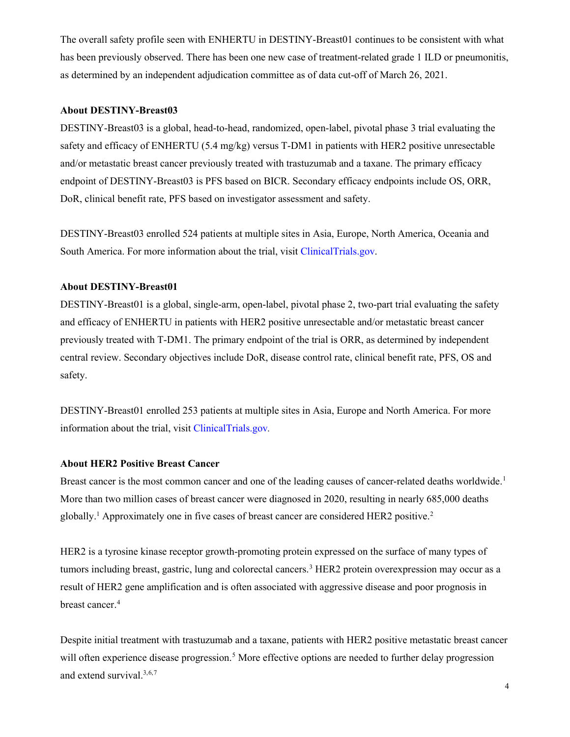The overall safety profile seen with ENHERTU in DESTINY-Breast01 continues to be consistent with what has been previously observed. There has been one new case of treatment-related grade 1 ILD or pneumonitis, as determined by an independent adjudication committee as of data cut-off of March 26, 2021.

#### **About DESTINY-Breast03**

DESTINY-Breast03 is a global, head-to-head, randomized, open-label, pivotal phase 3 trial evaluating the safety and efficacy of ENHERTU (5.4 mg/kg) versus T-DM1 in patients with HER2 positive unresectable and/or metastatic breast cancer previously treated with trastuzumab and a taxane. The primary efficacy endpoint of DESTINY-Breast03 is PFS based on BICR. Secondary efficacy endpoints include OS, ORR, DoR, clinical benefit rate, PFS based on investigator assessment and safety.

DESTINY-Breast03 enrolled 524 patients at multiple sites in Asia, Europe, North America, Oceania and South America. For more information about the trial, visit [ClinicalTrials.gov.](https://clinicaltrials.gov/ct2/show/NCT03529110)

#### **About DESTINY-Breast01**

DESTINY-Breast01 is a global, single-arm, open-label, pivotal phase 2, two-part trial evaluating the safety and efficacy of ENHERTU in patients with HER2 positive unresectable and/or metastatic breast cancer previously treated with T-DM1. The primary endpoint of the trial is ORR, as determined by independent central review. Secondary objectives include DoR, disease control rate, clinical benefit rate, PFS, OS and safety.

DESTINY-Breast01 enrolled 253 patients at multiple sites in Asia, Europe and North America. For more information about the trial, visit [ClinicalTrials.gov](https://clinicaltrials.gov/ct2/show/NCT03248492)*.*

#### **About HER2 Positive Breast Cancer**

Breast cancer is the most common cancer and one of the leading causes of cancer-related deaths worldwide.<sup>[1](#page-9-0)</sup> More than two million cases of breast cancer were diagnosed in 2020, resulting in nearly 685,000 deaths globally.<sup>1</sup> Approximately one in five cases of breast cancer are considered HER[2](#page-9-1) positive.<sup>2</sup>

HER2 is a tyrosine kinase receptor growth-promoting protein expressed on the surface of many types of tumors including breast, gastric, lung and colorectal cancers.<sup>[3](#page-9-2)</sup> HER2 protein overexpression may occur as a result of HER2 gene amplification and is often associated with aggressive disease and poor prognosis in breast cancer.<sup>[4](#page-9-3)</sup>

Despite initial treatment with trastuzumab and a taxane, patients with HER2 positive metastatic breast cancer will often experience disease progression.<sup>[5](#page-9-4)</sup> More effective options are needed to further delay progression and extend survival. 3[,6,](#page-9-5)[7](#page-9-6)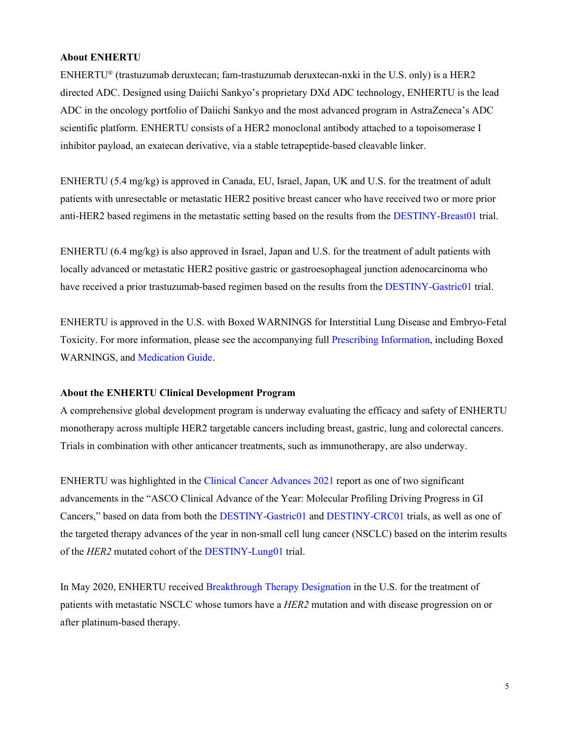## **About ENHERTU**

ENHERTU® (trastuzumab deruxtecan; fam-trastuzumab deruxtecan-nxki in the U.S. only) is a HER2 directed ADC. Designed using Daiichi Sankyo's proprietary DXd ADC technology, ENHERTU is the lead ADC in the oncology portfolio of Daiichi Sankyo and the most advanced program in AstraZeneca's ADC scientific platform. ENHERTU consists of a HER2 monoclonal antibody attached to a topoisomerase I inhibitor payload, an exatecan derivative, via a stable tetrapeptide-based cleavable linker.

ENHERTU (5.4 mg/kg) is approved in Canada, EU, Israel, Japan, UK and U.S. for the treatment of adult patients with unresectable or metastatic HER2 positive breast cancer who have received two or more prior anti-HER2 based regimens in the metastatic setting based on the results from the [DESTINY-Breast01](https://clinicaltrials.gov/ct2/show/NCT03248492) trial.

ENHERTU (6.4 mg/kg) is also approved in Israel, Japan and U.S. for the treatment of adult patients with locally advanced or metastatic HER2 positive gastric or gastroesophageal junction adenocarcinoma who have received a prior trastuzumab-based regimen based on the results from th[e DESTINY-Gastric01](https://clinicaltrials.gov/ct2/show/NCT03329690) trial.

ENHERTU is approved in the U.S. with Boxed WARNINGS for Interstitial Lung Disease and Embryo-Fetal Toxicity. For more information, please see the accompanying full [Prescribing Information,](https://dsi.com/prescribing-information-portlet/getPIContent?productName=Enhertu&inline=true) including Boxed WARNINGS, and [Medication Guide.](https://dsi.com/prescribing-information-portlet/getPIContent?productName=Enhertu_Med&inline=true)

#### **About the ENHERTU Clinical Development Program**

A comprehensive global development program is underway evaluating the efficacy and safety of ENHERTU monotherapy across multiple HER2 targetable cancers including breast, gastric, lung and colorectal cancers. Trials in combination with other anticancer treatments, such as immunotherapy, are also underway.

ENHERTU was highlighted in the [Clinical Cancer Advances 2021](https://www.asco.org/research-data/reports-studies/clinical-cancer-advances-2021) report as one of two significant advancements in the "ASCO Clinical Advance of the Year: Molecular Profiling Driving Progress in GI Cancers," based on data from both the [DESTINY-Gastric01](https://cts.businesswire.com/ct/CT?id=smartlink&url=https%3A%2F%2Fclinicaltrials.gov%2Fct2%2Fshow%2FNCT03329690&esheet=52406068&newsitemid=20210406005251&lan=en-US&anchor=DESTINY-Gastric01&index=9&md5=b4493b3e55aabd2683557c16edeb3b46) and [DESTINY-CRC01](https://cts.businesswire.com/ct/CT?id=smartlink&url=https%3A%2F%2Fclinicaltrials.gov%2Fct2%2Fshow%2FNCT03384940&esheet=52406068&newsitemid=20210406005251&lan=en-US&anchor=DESTINY-CRC01&index=8&md5=2e5f6bb6c9001985c750b0aa4ef7482f) trials, as well as one of the targeted therapy advances of the year in non-small cell lung cancer (NSCLC) based on the interim results of the *HER2* mutated cohort of the [DESTINY-Lung01](https://clinicaltrials.gov/ct2/show/NCT03505710) trial.

In May 2020, ENHERTU received [Breakthrough Therapy Designation](https://www.daiichisankyo.com/media/press_release/detail/index_3143.html) in the U.S. for the treatment of patients with metastatic NSCLC whose tumors have a *HER2* mutation and with disease progression on or after platinum-based therapy.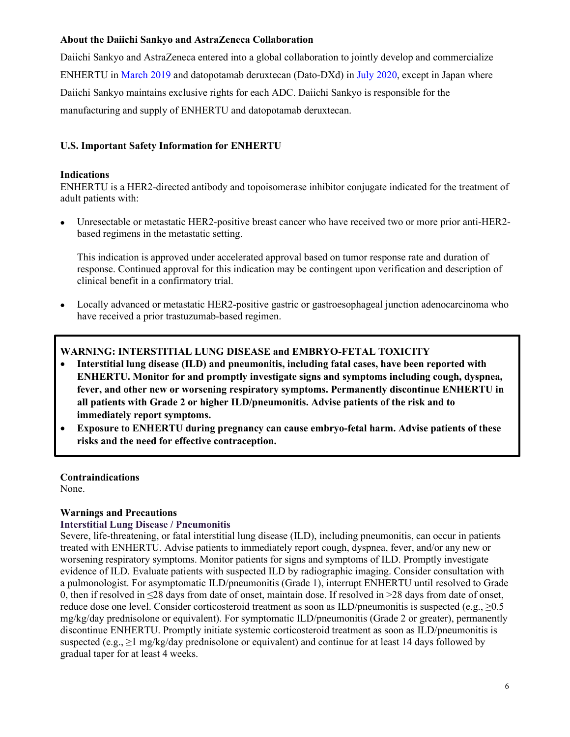## **About the Daiichi Sankyo and AstraZeneca Collaboration**

Daiichi Sankyo and AstraZeneca entered into a global collaboration to jointly develop and commercialize ENHERTU in [March 2019](https://www.daiichisankyo.com/media/press_release/detail/index_3199.html) and datopotamab deruxtecan (Dato-DXd) in [July 2020,](https://www.daiichisankyo.com/media/press_release/detail/index_3126.html) except in Japan where Daiichi Sankyo maintains exclusive rights for each ADC. Daiichi Sankyo is responsible for the manufacturing and supply of ENHERTU and datopotamab deruxtecan.

# **U.S. Important Safety Information for ENHERTU**

#### **Indications**

ENHERTU is a HER2-directed antibody and topoisomerase inhibitor conjugate indicated for the treatment of adult patients with:

• Unresectable or metastatic HER2-positive breast cancer who have received two or more prior anti-HER2 based regimens in the metastatic setting.

This indication is approved under accelerated approval based on tumor response rate and duration of response. Continued approval for this indication may be contingent upon verification and description of clinical benefit in a confirmatory trial.

• Locally advanced or metastatic HER2-positive gastric or gastroesophageal junction adenocarcinoma who have received a prior trastuzumab-based regimen.

## **WARNING: INTERSTITIAL LUNG DISEASE and EMBRYO-FETAL TOXICITY**

- **Interstitial lung disease (ILD) and pneumonitis, including fatal cases, have been reported with ENHERTU. Monitor for and promptly investigate signs and symptoms including cough, dyspnea, fever, and other new or worsening respiratory symptoms. Permanently discontinue ENHERTU in all patients with Grade 2 or higher ILD/pneumonitis. Advise patients of the risk and to immediately report symptoms.**
- **Exposure to ENHERTU during pregnancy can cause embryo-fetal harm. Advise patients of these risks and the need for effective contraception.**

**Contraindications** None.

## **Warnings and Precautions**

#### **Interstitial Lung Disease / Pneumonitis**

Severe, life-threatening, or fatal interstitial lung disease (ILD), including pneumonitis, can occur in patients treated with ENHERTU. Advise patients to immediately report cough, dyspnea, fever, and/or any new or worsening respiratory symptoms. Monitor patients for signs and symptoms of ILD. Promptly investigate evidence of ILD. Evaluate patients with suspected ILD by radiographic imaging. Consider consultation with a pulmonologist. For asymptomatic ILD/pneumonitis (Grade 1), interrupt ENHERTU until resolved to Grade 0, then if resolved in ≤28 days from date of onset, maintain dose. If resolved in >28 days from date of onset, reduce dose one level. Consider corticosteroid treatment as soon as ILD/pneumonitis is suspected (e.g.,  $\geq 0.5$ ) mg/kg/day prednisolone or equivalent). For symptomatic ILD/pneumonitis (Grade 2 or greater), permanently discontinue ENHERTU. Promptly initiate systemic corticosteroid treatment as soon as ILD/pneumonitis is suspected (e.g.,  $\geq 1$  mg/kg/day prednisolone or equivalent) and continue for at least 14 days followed by gradual taper for at least 4 weeks.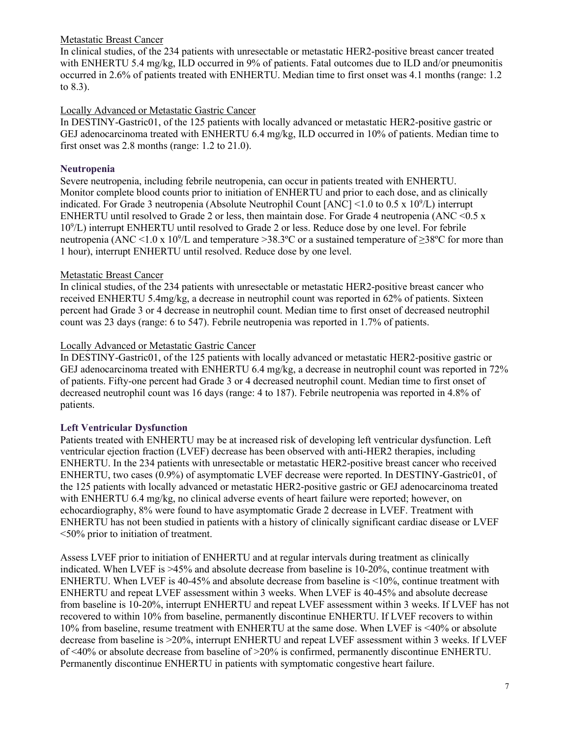## Metastatic Breast Cancer

In clinical studies, of the 234 patients with unresectable or metastatic HER2-positive breast cancer treated with ENHERTU 5.4 mg/kg, ILD occurred in 9% of patients. Fatal outcomes due to ILD and/or pneumonitis occurred in 2.6% of patients treated with ENHERTU. Median time to first onset was 4.1 months (range: 1.2 to 8.3).

# Locally Advanced or Metastatic Gastric Cancer

In DESTINY-Gastric01, of the 125 patients with locally advanced or metastatic HER2-positive gastric or GEJ adenocarcinoma treated with ENHERTU 6.4 mg/kg, ILD occurred in 10% of patients. Median time to first onset was 2.8 months (range: 1.2 to 21.0).

# **Neutropenia**

Severe neutropenia, including febrile neutropenia, can occur in patients treated with ENHERTU. Monitor complete blood counts prior to initiation of ENHERTU and prior to each dose, and as clinically indicated. For Grade 3 neutropenia (Absolute Neutrophil Count [ANC] <1.0 to 0.5 x  $10^9$ /L) interrupt ENHERTU until resolved to Grade 2 or less, then maintain dose. For Grade 4 neutropenia (ANC  $\leq 0.5$  x 109 /L) interrupt ENHERTU until resolved to Grade 2 or less. Reduce dose by one level. For febrile neutropenia (ANC <1.0 x 10<sup>9</sup>/L and temperature >38.3°C or a sustained temperature of  $\geq$ 38°C for more than 1 hour), interrupt ENHERTU until resolved. Reduce dose by one level.

# Metastatic Breast Cancer

In clinical studies, of the 234 patients with unresectable or metastatic HER2-positive breast cancer who received ENHERTU 5.4mg/kg, a decrease in neutrophil count was reported in 62% of patients. Sixteen percent had Grade 3 or 4 decrease in neutrophil count. Median time to first onset of decreased neutrophil count was 23 days (range: 6 to 547). Febrile neutropenia was reported in 1.7% of patients.

# Locally Advanced or Metastatic Gastric Cancer

In DESTINY-Gastric01, of the 125 patients with locally advanced or metastatic HER2-positive gastric or GEJ adenocarcinoma treated with ENHERTU 6.4 mg/kg, a decrease in neutrophil count was reported in 72% of patients. Fifty-one percent had Grade 3 or 4 decreased neutrophil count. Median time to first onset of decreased neutrophil count was 16 days (range: 4 to 187). Febrile neutropenia was reported in 4.8% of patients.

# **Left Ventricular Dysfunction**

Patients treated with ENHERTU may be at increased risk of developing left ventricular dysfunction. Left ventricular ejection fraction (LVEF) decrease has been observed with anti-HER2 therapies, including ENHERTU. In the 234 patients with unresectable or metastatic HER2-positive breast cancer who received ENHERTU, two cases (0.9%) of asymptomatic LVEF decrease were reported. In DESTINY-Gastric01, of the 125 patients with locally advanced or metastatic HER2-positive gastric or GEJ adenocarcinoma treated with ENHERTU 6.4 mg/kg, no clinical adverse events of heart failure were reported; however, on echocardiography, 8% were found to have asymptomatic Grade 2 decrease in LVEF. Treatment with ENHERTU has not been studied in patients with a history of clinically significant cardiac disease or LVEF <50% prior to initiation of treatment.

Assess LVEF prior to initiation of ENHERTU and at regular intervals during treatment as clinically indicated. When LVEF is >45% and absolute decrease from baseline is 10-20%, continue treatment with ENHERTU. When LVEF is 40-45% and absolute decrease from baseline is <10%, continue treatment with ENHERTU and repeat LVEF assessment within 3 weeks. When LVEF is 40-45% and absolute decrease from baseline is 10-20%, interrupt ENHERTU and repeat LVEF assessment within 3 weeks. If LVEF has not recovered to within 10% from baseline, permanently discontinue ENHERTU. If LVEF recovers to within 10% from baseline, resume treatment with ENHERTU at the same dose. When LVEF is <40% or absolute decrease from baseline is >20%, interrupt ENHERTU and repeat LVEF assessment within 3 weeks. If LVEF of <40% or absolute decrease from baseline of >20% is confirmed, permanently discontinue ENHERTU. Permanently discontinue ENHERTU in patients with symptomatic congestive heart failure.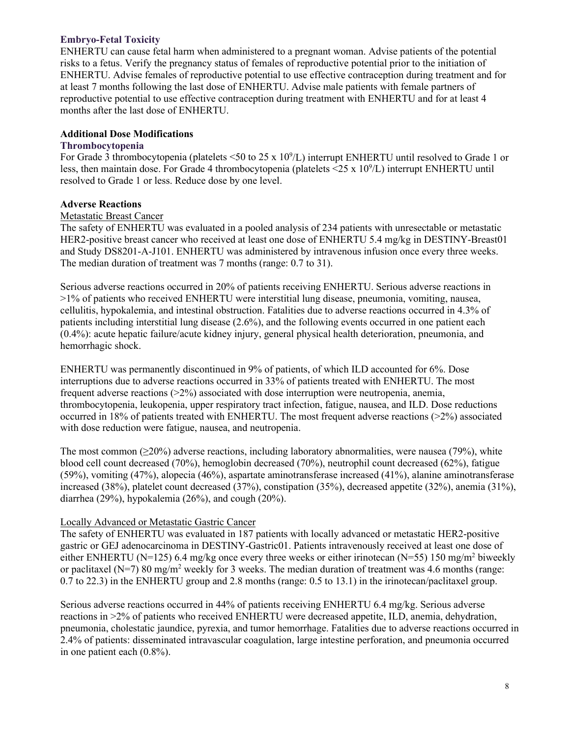## **Embryo-Fetal Toxicity**

ENHERTU can cause fetal harm when administered to a pregnant woman. Advise patients of the potential risks to a fetus. Verify the pregnancy status of females of reproductive potential prior to the initiation of ENHERTU. Advise females of reproductive potential to use effective contraception during treatment and for at least 7 months following the last dose of ENHERTU. Advise male patients with female partners of reproductive potential to use effective contraception during treatment with ENHERTU and for at least 4 months after the last dose of ENHERTU.

## **Additional Dose Modifications**

## **Thrombocytopenia**

For Grade 3 thrombocytopenia (platelets <50 to 25 x  $10^9$ /L) interrupt ENHERTU until resolved to Grade 1 or less, then maintain dose. For Grade 4 thrombocytopenia (platelets <25 x 10<sup>9</sup>/L) interrupt ENHERTU until resolved to Grade 1 or less. Reduce dose by one level.

## **Adverse Reactions**

#### Metastatic Breast Cancer

The safety of ENHERTU was evaluated in a pooled analysis of 234 patients with unresectable or metastatic HER2-positive breast cancer who received at least one dose of ENHERTU 5.4 mg/kg in DESTINY-Breast01 and Study DS8201-A-J101. ENHERTU was administered by intravenous infusion once every three weeks. The median duration of treatment was 7 months (range: 0.7 to 31).

Serious adverse reactions occurred in 20% of patients receiving ENHERTU. Serious adverse reactions in >1% of patients who received ENHERTU were interstitial lung disease, pneumonia, vomiting, nausea, cellulitis, hypokalemia, and intestinal obstruction. Fatalities due to adverse reactions occurred in 4.3% of patients including interstitial lung disease (2.6%), and the following events occurred in one patient each (0.4%): acute hepatic failure/acute kidney injury, general physical health deterioration, pneumonia, and hemorrhagic shock.

ENHERTU was permanently discontinued in 9% of patients, of which ILD accounted for 6%. Dose interruptions due to adverse reactions occurred in 33% of patients treated with ENHERTU. The most frequent adverse reactions  $(22%)$  associated with dose interruption were neutropenia, anemia, thrombocytopenia, leukopenia, upper respiratory tract infection, fatigue, nausea, and ILD. Dose reductions occurred in 18% of patients treated with ENHERTU. The most frequent adverse reactions (>2%) associated with dose reduction were fatigue, nausea, and neutropenia.

The most common  $(\geq 20\%)$  adverse reactions, including laboratory abnormalities, were nausea (79%), white blood cell count decreased (70%), hemoglobin decreased (70%), neutrophil count decreased (62%), fatigue (59%), vomiting (47%), alopecia (46%), aspartate aminotransferase increased (41%), alanine aminotransferase increased (38%), platelet count decreased (37%), constipation (35%), decreased appetite (32%), anemia (31%), diarrhea (29%), hypokalemia (26%), and cough (20%).

## Locally Advanced or Metastatic Gastric Cancer

The safety of ENHERTU was evaluated in 187 patients with locally advanced or metastatic HER2-positive gastric or GEJ adenocarcinoma in DESTINY-Gastric01. Patients intravenously received at least one dose of either ENHERTU (N=125) 6.4 mg/kg once every three weeks or either irinotecan (N=55) 150 mg/m<sup>2</sup> biweekly or paclitaxel (N=7) 80 mg/m<sup>2</sup> weekly for 3 weeks. The median duration of treatment was 4.6 months (range: 0.7 to 22.3) in the ENHERTU group and 2.8 months (range: 0.5 to 13.1) in the irinotecan/paclitaxel group.

Serious adverse reactions occurred in 44% of patients receiving ENHERTU 6.4 mg/kg. Serious adverse reactions in >2% of patients who received ENHERTU were decreased appetite, ILD, anemia, dehydration, pneumonia, cholestatic jaundice, pyrexia, and tumor hemorrhage. Fatalities due to adverse reactions occurred in 2.4% of patients: disseminated intravascular coagulation, large intestine perforation, and pneumonia occurred in one patient each (0.8%).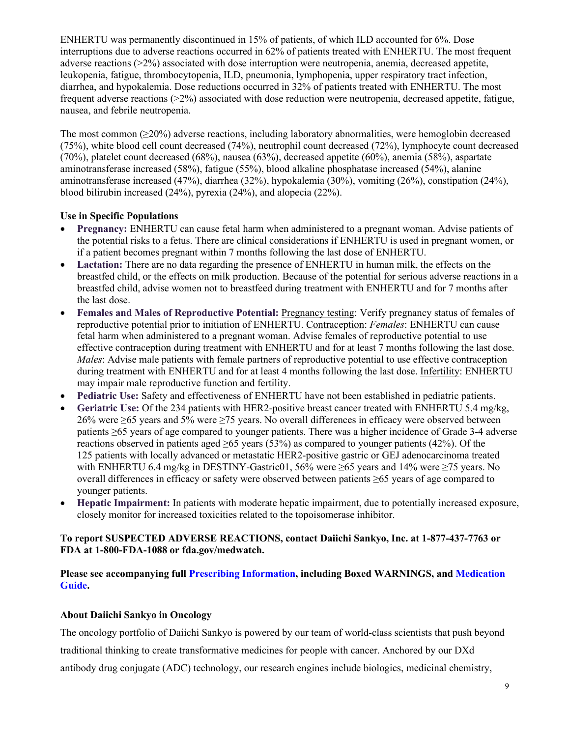ENHERTU was permanently discontinued in 15% of patients, of which ILD accounted for 6%. Dose interruptions due to adverse reactions occurred in 62% of patients treated with ENHERTU. The most frequent adverse reactions (>2%) associated with dose interruption were neutropenia, anemia, decreased appetite, leukopenia, fatigue, thrombocytopenia, ILD, pneumonia, lymphopenia, upper respiratory tract infection, diarrhea, and hypokalemia. Dose reductions occurred in 32% of patients treated with ENHERTU. The most frequent adverse reactions (>2%) associated with dose reduction were neutropenia, decreased appetite, fatigue, nausea, and febrile neutropenia.

The most common (≥20%) adverse reactions, including laboratory abnormalities, were hemoglobin decreased (75%), white blood cell count decreased (74%), neutrophil count decreased (72%), lymphocyte count decreased (70%), platelet count decreased (68%), nausea (63%), decreased appetite (60%), anemia (58%), aspartate aminotransferase increased (58%), fatigue (55%), blood alkaline phosphatase increased (54%), alanine aminotransferase increased (47%), diarrhea (32%), hypokalemia (30%), vomiting (26%), constipation (24%), blood bilirubin increased (24%), pyrexia (24%), and alopecia (22%).

# **Use in Specific Populations**

- **Pregnancy:** ENHERTU can cause fetal harm when administered to a pregnant woman. Advise patients of the potential risks to a fetus. There are clinical considerations if ENHERTU is used in pregnant women, or if a patient becomes pregnant within 7 months following the last dose of ENHERTU.
- Lactation: There are no data regarding the presence of ENHERTU in human milk, the effects on the breastfed child, or the effects on milk production. Because of the potential for serious adverse reactions in a breastfed child, advise women not to breastfeed during treatment with ENHERTU and for 7 months after the last dose.
- **Females and Males of Reproductive Potential:** Pregnancy testing: Verify pregnancy status of females of reproductive potential prior to initiation of ENHERTU. Contraception: *Females*: ENHERTU can cause fetal harm when administered to a pregnant woman. Advise females of reproductive potential to use effective contraception during treatment with ENHERTU and for at least 7 months following the last dose. *Males*: Advise male patients with female partners of reproductive potential to use effective contraception during treatment with ENHERTU and for at least 4 months following the last dose. Infertility: ENHERTU may impair male reproductive function and fertility.
- **Pediatric Use:** Safety and effectiveness of ENHERTU have not been established in pediatric patients.
- **Geriatric Use:** Of the 234 patients with HER2-positive breast cancer treated with ENHERTU 5.4 mg/kg, 26% were ≥65 years and 5% were ≥75 years. No overall differences in efficacy were observed between patients ≥65 years of age compared to younger patients. There was a higher incidence of Grade 3-4 adverse reactions observed in patients aged  $\geq 65$  years (53%) as compared to younger patients (42%). Of the 125 patients with locally advanced or metastatic HER2-positive gastric or GEJ adenocarcinoma treated with ENHERTU 6.4 mg/kg in DESTINY-Gastric01, 56% were  $\geq$ 65 years and 14% were  $\geq$ 75 years. No overall differences in efficacy or safety were observed between patients ≥65 years of age compared to younger patients.
- **Hepatic Impairment:** In patients with moderate hepatic impairment, due to potentially increased exposure, closely monitor for increased toxicities related to the topoisomerase inhibitor.

## **To report SUSPECTED ADVERSE REACTIONS, contact Daiichi Sankyo, Inc. at 1-877-437-7763 or FDA at 1-800-FDA-1088 or fda.gov/medwatch.**

## **Please see accompanying full [Prescribing Information,](https://dsi.com/prescribing-information-portlet/getPIContent?productName=Enhertu&inline=true) including Boxed WARNINGS, and [Medication](https://dsi.com/prescribing-information-portlet/getPIContent?productName=Enhertu_Med&inline=true)  [Guide.](https://dsi.com/prescribing-information-portlet/getPIContent?productName=Enhertu_Med&inline=true)**

## **About Daiichi Sankyo in Oncology**

The oncology portfolio of Daiichi Sankyo is powered by our team of world-class scientists that push beyond

traditional thinking to create transformative medicines for people with cancer. Anchored by our DXd

antibody drug conjugate (ADC) technology, our research engines include biologics, medicinal chemistry,